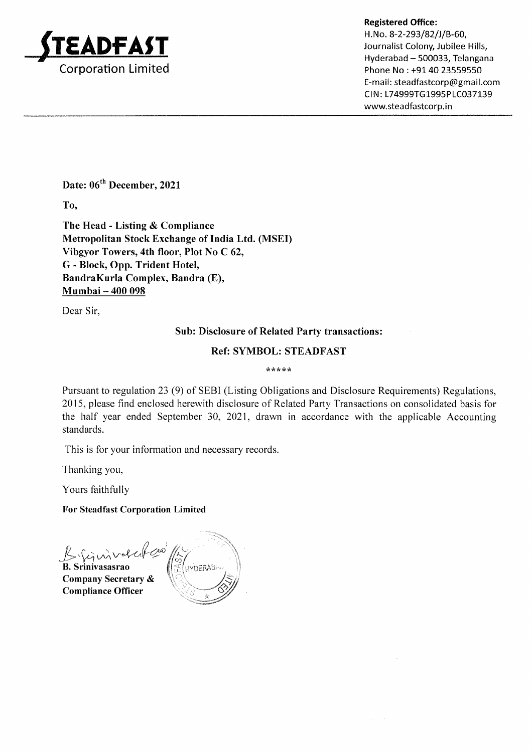

Registered Office:<br>H.No. 8-2-293/82/J/B-60, H.No. 8-2-293/82/J/B-60, Journalist Colony, Jubilee Hills,<br>Hyderabad – 500033, Telangana Phone No : +91 40 23559550 E-mail: steadfastcorp@gmail.com CIN: L74999TG1995PLC037139 www.steadfastcorp.in

Date: 06<sup>th</sup> December, 2021

To,

The Head - Listing & Compliance Metropolitan Stock Exchange of India Ltd. (MSEI) Vibgyor Towers, 4th floor, Plot No C 62, G - Block, Opp. Trident Hotel, BandraKurla Complex, Bandra (E), Mumbai - 400 098

Dear Sir,

# Sub: Disclosure of Related Party transactions:

#### Ref: SYMBOL: STEADFAST

\*\*\* ttik

Pursuant to regulation23 (9) of SEBI (Listing Obligations and Disclosure Requirements) Regulations, 2015, please find enclosed herewith disclosure of Related Party Transactions on consolidated basis for the half year ended September 30, 2021, drawn in accordance with the applicable Accounting standards.

This is for your information and necessary records

Thanking you,

Yours faithfully

For Steadfast Corporation Limited

Brinverchan **B.** Srinivasasrao

Company Secretary & Compliance Officer

HYDERAB<sub>IV</sub> c/) LL  $\mathbb{S}$  . To